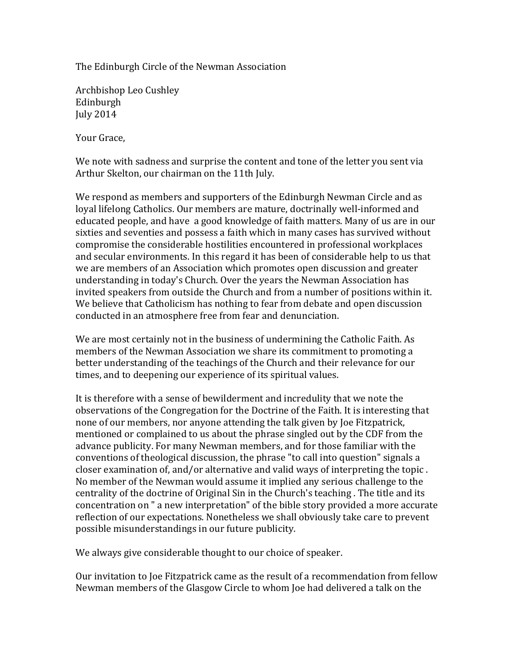The Edinburgh Circle of the Newman Association

Archbishop Leo Cushley Edinburgh July 2014

Your Grace,

We note with sadness and surprise the content and tone of the letter you sent via Arthur Skelton, our chairman on the 11th July.

We respond as members and supporters of the Edinburgh Newman Circle and as loyal lifelong Catholics. Our members are mature, doctrinally well-informed and educated people, and have a good knowledge of faith matters. Many of us are in our sixties and seventies and possess a faith which in many cases has survived without compromise the considerable hostilities encountered in professional workplaces and secular environments. In this regard it has been of considerable help to us that we are members of an Association which promotes open discussion and greater understanding in today's Church. Over the years the Newman Association has invited speakers from outside the Church and from a number of positions within it. We believe that Catholicism has nothing to fear from debate and open discussion conducted in an atmosphere free from fear and denunciation.

We are most certainly not in the business of undermining the Catholic Faith. As members of the Newman Association we share its commitment to promoting a better understanding of the teachings of the Church and their relevance for our times, and to deepening our experience of its spiritual values.

It is therefore with a sense of bewilderment and incredulity that we note the observations of the Congregation for the Doctrine of the Faith. It is interesting that none of our members, nor anyone attending the talk given by Joe Fitzpatrick, mentioned or complained to us about the phrase singled out by the CDF from the advance publicity. For many Newman members, and for those familiar with the conventions of theological discussion, the phrase "to call into question" signals a closer examination of, and/or alternative and valid ways of interpreting the topic. No member of the Newman would assume it implied any serious challenge to the centrality of the doctrine of Original Sin in the Church's teaching. The title and its concentration on " a new interpretation" of the bible story provided a more accurate reflection of our expectations. Nonetheless we shall obviously take care to prevent possible misunderstandings in our future publicity.

We always give considerable thought to our choice of speaker.

Our invitation to Joe Fitzpatrick came as the result of a recommendation from fellow Newman members of the Glasgow Circle to whom Joe had delivered a talk on the